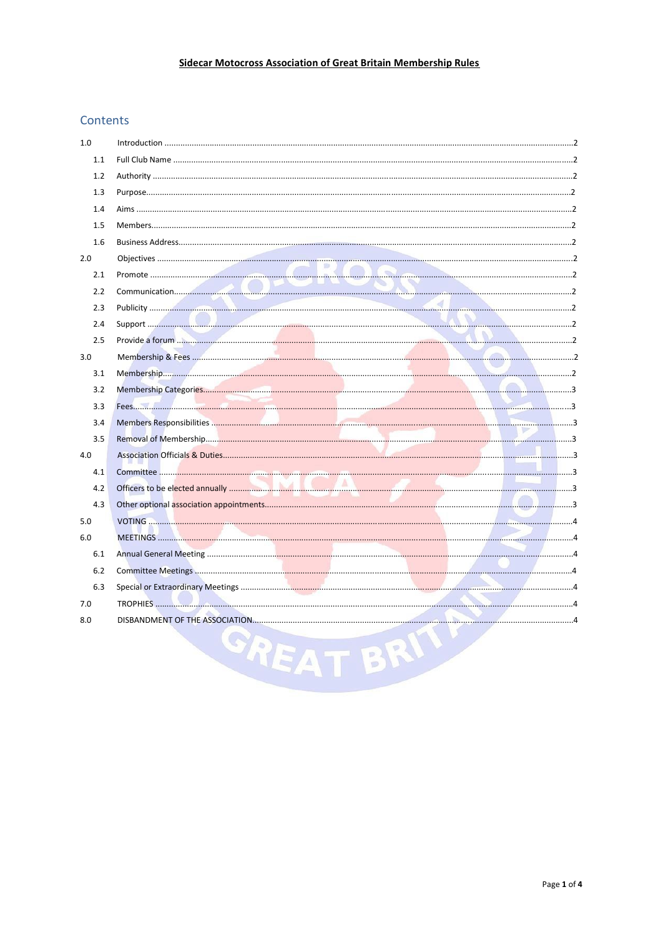# Sidecar Motocross Association of Great Britain Membership Rules

# Contents

| 1.0 |   |  |
|-----|---|--|
| 1.1 |   |  |
| 1.2 |   |  |
| 1.3 |   |  |
| 1.4 |   |  |
| 1.5 |   |  |
| 1.6 |   |  |
| 2.0 |   |  |
| 2.1 |   |  |
| 2.2 |   |  |
| 2.3 |   |  |
| 2.4 |   |  |
| 2.5 |   |  |
| 3.0 |   |  |
| 3.1 |   |  |
| 3.2 |   |  |
| 3.3 |   |  |
| 3.4 |   |  |
| 3.5 |   |  |
| 4.0 |   |  |
| 4.1 |   |  |
| 4.2 |   |  |
| 4.3 |   |  |
| 5.0 |   |  |
| 6.0 |   |  |
| 6.1 |   |  |
| 6.2 |   |  |
| 6.3 |   |  |
| 7.0 |   |  |
| 8.0 |   |  |
|     | ÷ |  |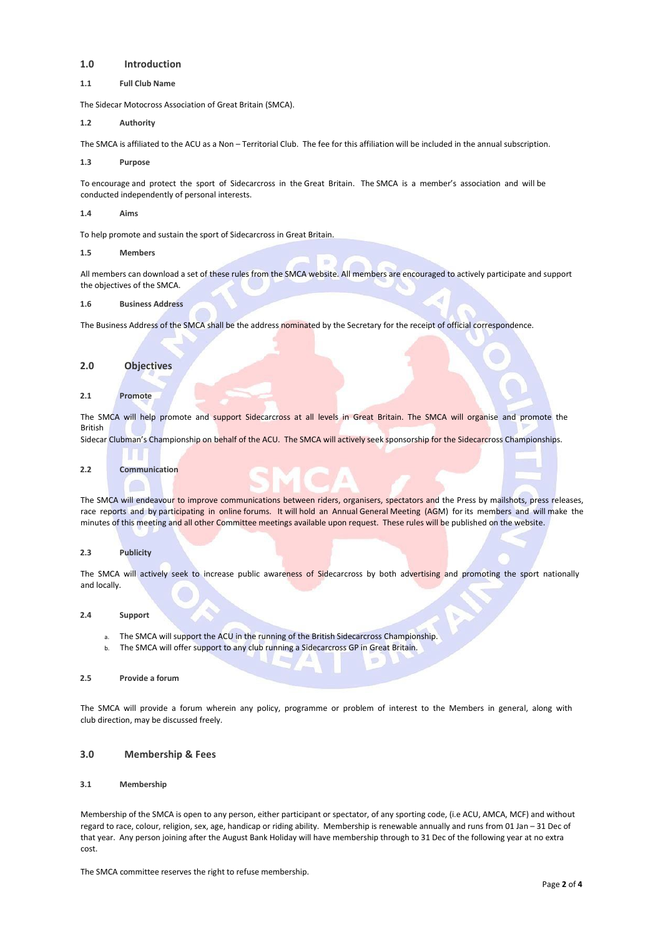## **1.0 Introduction**

**1.1 Full Club Name**

The Sidecar Motocross Association of Great Britain (SMCA).

**1.2 Authority**

The SMCA is affiliated to the ACU as a Non – Territorial Club. The fee for this affiliation will be included in the annual subscription.

**1.3 Purpose**

To encourage and protect the sport of Sidecarcross in the Great Britain. The SMCA is a member's association and will be conducted independently of personal interests.

**1.4 Aims**

To help promote and sustain the sport of Sidecarcross in Great Britain.

**1.5 Members**

All members can download a set of these rules from the SMCA website. All members are encouraged to actively participate and support the objectives of the SMCA.

**1.6 Business Address**

The Business Address of the SMCA shall be the address nominated by the Secretary for the receipt of official correspondence.

### **2.0 Objectives**

**2.1 Promote**

The SMCA will help promote and support Sidecarcross at all levels in Great Britain. The SMCA will organise and promote the British

Sidecar Clubman's Championship on behalf of the ACU. The SMCA will actively seek sponsorship for the Sidecarcross Championships.

## **2.2 Communication**

The SMCA will endeavour to improve communications between riders, organisers, spectators and the Press by mailshots, press releases, race reports and by participating in online forums. It will hold an Annual General Meeting (AGM) for its members and will make the minutes of this meeting and all other Committee meetings available upon request. These rules will be published on the website.

## **2.3 Publicity**

The SMCA will actively seek to increase public awareness of Sidecarcross by both advertising and promoting the sport nationally and locally.

### **2.4 Support**

- a. The SMCA will support the ACU in the running of the British Sidecarcross Championship.
- b. The SMCA will offer support to any club running a Sidecarcross GP in Great Britain.
- **2.5 Provide a forum**

The SMCA will provide a forum wherein any policy, programme or problem of interest to the Members in general, along with club direction, may be discussed freely.

## **3.0 Membership & Fees**

## **3.1 Membership**

Membership of the SMCA is open to any person, either participant or spectator, of any sporting code, (i.e ACU, AMCA, MCF) and without regard to race, colour, religion, sex, age, handicap or riding ability. Membership is renewable annually and runs from 01 Jan – 31 Dec of that year. Any person joining after the August Bank Holiday will have membership through to 31 Dec of the following year at no extra cost.

The SMCA committee reserves the right to refuse membership.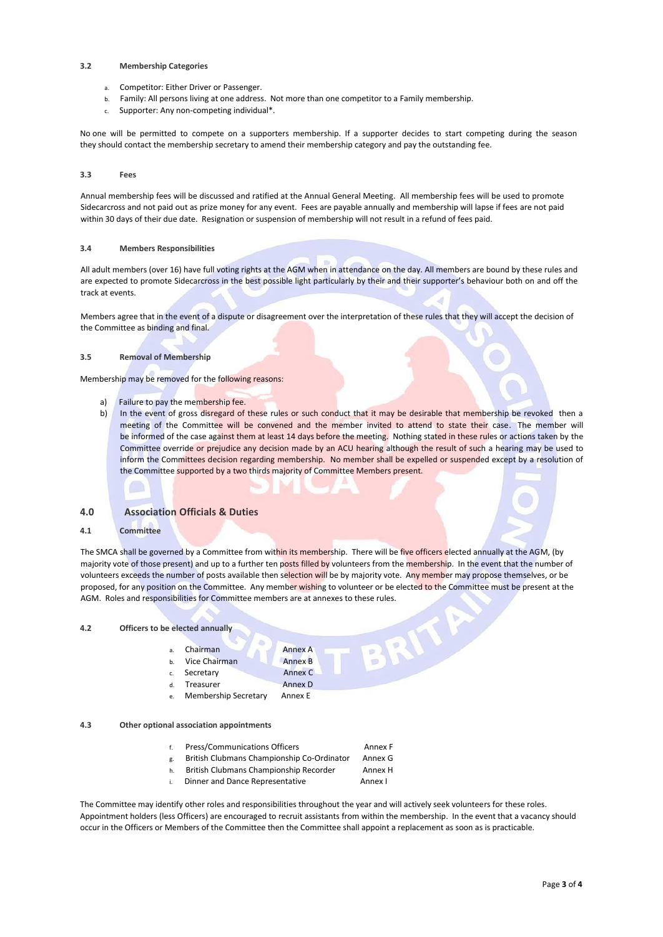#### **3.2 Membership Categories**

- a. Competitor: Either Driver or Passenger.
- b. Family: All persons living at one address. Not more than one competitor to a Family membership.
- Supporter: Any non-competing individual\*.

No one will be permitted to compete on a supporters membership. If a supporter decides to start competing during the season they should contact the membership secretary to amend their membership category and pay the outstanding fee.

## **3.3 Fees**

Annual membership fees will be discussed and ratified at the Annual General Meeting. All membership fees will be used to promote Sidecarcross and not paid out as prize money for any event. Fees are payable annually and membership will lapse if fees are not paid within 30 days of their due date. Resignation or suspension of membership will not result in a refund of fees paid.

#### **3.4 Members Responsibilities**

All adult members (over 16) have full voting rights at the AGM when in attendance on the day. All members are bound by these rules and are expected to promote Sidecarcross in the best possible light particularly by their and their supporter's behaviour both on and off the track at events.

Members agree that in the event of a dispute or disagreement over the interpretation of these rules that they will accept the decision of the Committee as binding and final.

## **3.5 Removal of Membership**

Membership may be removed for the following reasons:

- a) Failure to pay the membership fee.
- b) In the event of gross disregard of these rules or such conduct that it may be desirable that membership be revoked then a meeting of the Committee will be convened and the member invited to attend to state their case. The member will be informed of the case against them at least 14 days before the meeting. Nothing stated in these rules or actions taken by the Committee override or prejudice any decision made by an ACU hearing although the result of such a hearing may be used to inform the Committees decision regarding membership. No member shall be expelled or suspended except by a resolution of the Committee supported by a two thirds majority of Committee Members present.

## **4.0 Association Officials & Duties**

## **4.1 Committee**

The SMCA shall be governed by a Committee from within its membership. There will be five officers elected annually at the AGM, (by majority vote of those present) and up to a further ten posts filled by volunteers from the membership. In the event that the number of volunteers exceeds the number of posts available then selection will be by majority vote. Any member may propose themselves, or be proposed, for any position on the Committee. Any member wishing to volunteer or be elected to the Committee must be present at the AGM. Roles and responsibilities for Committee members are at annexes to these rules.<br>
4.2 Officers to be elected annually<br>
2. Chairman<br>
2. Chairman<br>
2. Chairman<br>
2. Chairman<br>
2. Chairman<br>
2. Chairman<br>
2. Chairman<br>
2. Chair

## **4.2 Officers to be elected annually**

- a. Chairman Annex A
- Vice Chairman Annex B
- c. Secretary Annex C
- d. Treasurer **Annex D**
- Membership Secretary Annex E

## **4.3 Other optional association appointments**

- f. Press/Communications Officers **Annex F**
- g. British Clubmans Championship Co-Ordinator Annex G
- h. British Clubmans Championship Recorder Annex H
- i. Dinner and Dance Representative Annex I

The Committee may identify other roles and responsibilities throughout the year and will actively seek volunteers for these roles. Appointment holders (less Officers) are encouraged to recruit assistants from within the membership. In the event that a vacancy should occur in the Officers or Members of the Committee then the Committee shall appoint a replacement as soon as is practicable.